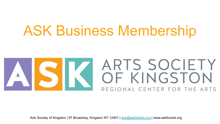## ASK Business Membership



Arts Society of Kingston | 97 Broadway, Kingston NY 12401 | [ask@askforarts.org](mailto:ask@askforarts.org) | www.askforarts.org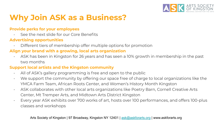

### **Why Join ASK as a Business?**

#### **Provide perks for your employees**

- See the next slide for our Core Benefits

#### **Advertising opportunities**

Different tiers of membership offer multiple options for promotion

#### **Align your brand with a growing, local arts organization**

- ASK has been in Kingston for 26 years and has seen a 10% growth in membership in the past two months

#### **Support local artists and the Kingston community**

- All of ASK's gallery programming is free and open to the public
- We support the community by offering our space free of charge to local organizations like the YMCA Farm Team, African Roots Center, and Women's History Month Kingston
- ASK collaborates with other local arts organizations like Poetry Barn, Cornell Creative Arts Center, Mt Tremper Arts, and Midtown Arts District Kingston
- Every year ASK exhibits over 700 works of art, hosts over 100 performances, and offers 100-plus classes and workshops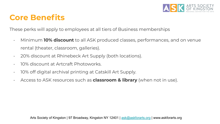

### **Core Benefits**

These perks will apply to employees at all tiers of Business memberships

- Minimum **10% discount** to all ASK produced classes, performances, and on venue rental (theater, classroom, galleries).
- 20% discount at Rhinebeck Art Supply (both locations).
- 10% discount at Artcraft Photoworks.
- 10% off digital archival printing at Catskill Art Supply.
- Access to ASK resources such as **classroom & library** (when not in use).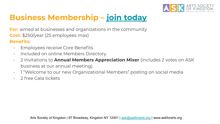

### **Business Membership – [join today](https://www.askforarts.org/bus-membership/)**

**For:** aimed at businesses and organizations in the community **Cost:** \$250/year (25 employees max)

#### **Benefits:**

- Employees receive Core Benefits
- Included on online Members Directory
- 2 invitations to **Annual Members Appreciation Mixer** (includes 2 votes on ASK business at our annual meeting).
- 1 "Welcome to our new Organizational Members" posting on social media
- 2 free Gala tickets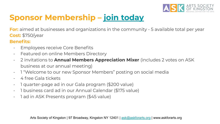

### **Sponsor Membership – [join today](https://www.askforarts.org/bus-membership/)**

**For:** aimed at businesses and organizations in the community - 5 available total per year **Cost:** \$750/year

#### **Benefits:**

- Employees receive Core Benefits
- Featured on online Members Directory
- 2 invitations to **Annual Members Appreciation Mixer** (includes 2 votes on ASK business at our annual meeting)
- 1 "Welcome to our new Sponsor Members" posting on social media
- 4 free Gala tickets
- 1 quarter-page ad in our Gala program (\$200 value)
- 1 business card ad in our Annual Calendar (\$175 value)
- 1 ad in ASK Presents program (\$45 value)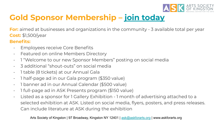

### **Gold Sponsor Membership – [join today](https://www.askforarts.org/bus-membership/)**

**For:** aimed at businesses and organizations in the community - 3 available total per year **Cost:** \$1,500/year

### **Benefits:**

- Employees receive Core Benefits
- Featured on online Members Directory
- 1 "Welcome to our new Sponsor Members" posting on social media
- 3 additional "shout-outs" on social media
- 1 table (8 tickets) at our Annual Gala
- 1 half-page ad in our Gala program (\$350 value)
- 1 banner ad in our Annual Calendar (\$500 value)
- 1 full-page ad in ASK Presents program (\$150 value)
- Listed as a sponsor for 1 Gallery Exhibition 1 month of advertising attached to a selected exhibition at ASK. Listed on social media, flyers, posters, and press releases. Can include literature at ASK during the exhibition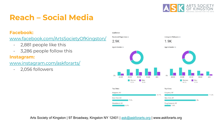

### **Reach – Social Media**

#### **Facebook:**

[www.facebook.com/ArtsSocietyOfKingston/](https://www.facebook.com/ArtsSocietyOfKingston/)

- 2,881 people like this
- 3,286 people follow this

#### **Instagram:**

[www.instagram.com/askforarts/](https://www.instagram.com/askforarts/)

- 2,056 followers



Arts Society of Kingston | 97 Broadway, Kingston NY 12401 | [ask@askforarts.org](mailto:ask@askforarts.org) | www.askforarts.org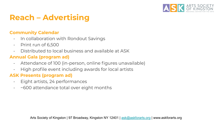

### **Reach – Advertising**

#### **Community Calendar**

- In collaboration with Rondout Savings
- Print run of 6,500
- Distributed to local business and available at ASK

### **Annual Gala (program ad)**

- Attendance of 100 (in-person, online figures unavailable)
- High profile event including awards for local artists

### **ASK Presents (program ad)**

- Eight artists, 24 performances
- ~600 attendance total over eight months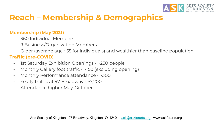

### **Reach – Membership & Demographics**

### **Membership (May 2021)**

- 360 Individual Members
- 9 Business/Organization Members
- Older (average age ~55 for individuals) and wealthier than baseline population

### **Traffic (pre-COVID)**

- 1st Saturday Exhibition Openings ~250 people
- Monthly Gallery foot traffic ~150 (excluding opening)
- Monthly Performance attendance ~300
- Yearly traffic at 97 Broadway ~7,200
- Attendance higher May-October